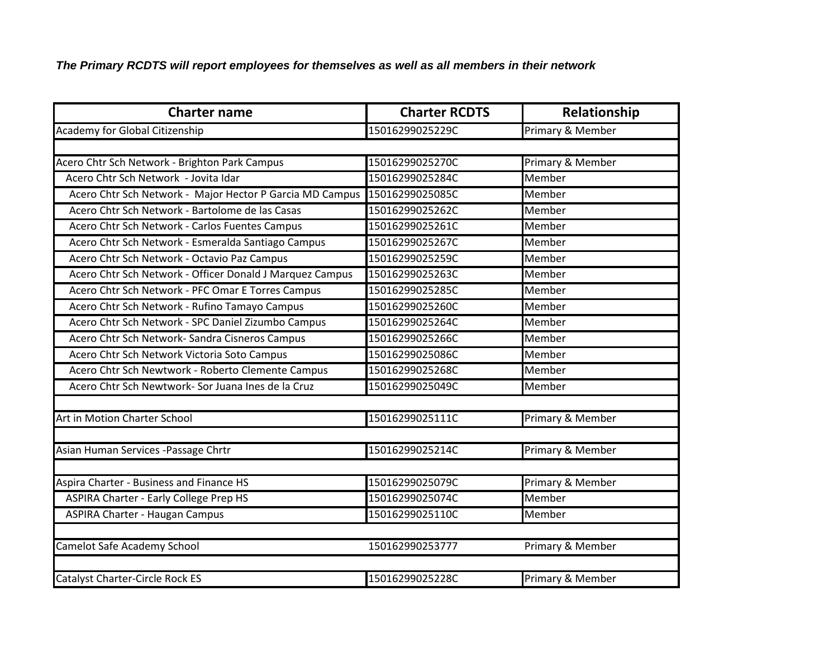*The Primary RCDTS will report employees for themselves as well as all members in their network*

| <b>Charter name</b>                                      | <b>Charter RCDTS</b> | Relationship     |
|----------------------------------------------------------|----------------------|------------------|
| Academy for Global Citizenship                           | 15016299025229C      | Primary & Member |
|                                                          |                      |                  |
| Acero Chtr Sch Network - Brighton Park Campus            | 15016299025270C      | Primary & Member |
| Acero Chtr Sch Network - Jovita Idar                     | 15016299025284C      | Member           |
| Acero Chtr Sch Network - Major Hector P Garcia MD Campus | 15016299025085C      | Member           |
| Acero Chtr Sch Network - Bartolome de las Casas          | 15016299025262C      | Member           |
| Acero Chtr Sch Network - Carlos Fuentes Campus           | 15016299025261C      | Member           |
| Acero Chtr Sch Network - Esmeralda Santiago Campus       | 15016299025267C      | Member           |
| Acero Chtr Sch Network - Octavio Paz Campus              | 15016299025259C      | Member           |
| Acero Chtr Sch Network - Officer Donald J Marquez Campus | 15016299025263C      | Member           |
| Acero Chtr Sch Network - PFC Omar E Torres Campus        | 15016299025285C      | Member           |
| Acero Chtr Sch Network - Rufino Tamayo Campus            | 15016299025260C      | Member           |
| Acero Chtr Sch Network - SPC Daniel Zizumbo Campus       | 15016299025264C      | Member           |
| Acero Chtr Sch Network- Sandra Cisneros Campus           | 15016299025266C      | Member           |
| Acero Chtr Sch Network Victoria Soto Campus              | 15016299025086C      | Member           |
| Acero Chtr Sch Newtwork - Roberto Clemente Campus        | 15016299025268C      | Member           |
| Acero Chtr Sch Newtwork- Sor Juana Ines de la Cruz       | 15016299025049C      | Member           |
|                                                          |                      |                  |
| Art in Motion Charter School                             | 15016299025111C      | Primary & Member |
|                                                          |                      |                  |
| Asian Human Services - Passage Chrtr                     | 15016299025214C      | Primary & Member |
|                                                          |                      |                  |
| Aspira Charter - Business and Finance HS                 | 15016299025079C      | Primary & Member |
| <b>ASPIRA Charter - Early College Prep HS</b>            | 15016299025074C      | Member           |
| <b>ASPIRA Charter - Haugan Campus</b>                    | 15016299025110C      | Member           |
|                                                          |                      |                  |
| Camelot Safe Academy School                              | 150162990253777      | Primary & Member |
|                                                          |                      |                  |
| <b>Catalyst Charter-Circle Rock ES</b>                   | 15016299025228C      | Primary & Member |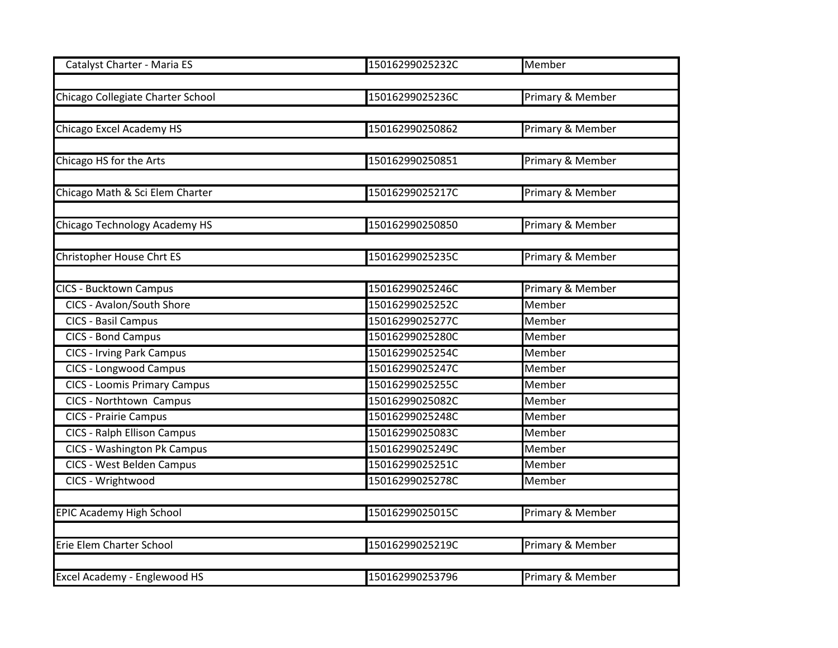| Catalyst Charter - Maria ES         | 15016299025232C | Member                      |
|-------------------------------------|-----------------|-----------------------------|
|                                     |                 |                             |
| Chicago Collegiate Charter School   | 15016299025236C | <b>Primary &amp; Member</b> |
|                                     |                 |                             |
| Chicago Excel Academy HS            | 150162990250862 | Primary & Member            |
|                                     |                 |                             |
| Chicago HS for the Arts             | 150162990250851 | Primary & Member            |
|                                     |                 |                             |
| Chicago Math & Sci Elem Charter     | 15016299025217C | <b>Primary &amp; Member</b> |
|                                     |                 |                             |
| Chicago Technology Academy HS       | 150162990250850 | Primary & Member            |
|                                     |                 |                             |
| Christopher House Chrt ES           | 15016299025235C | Primary & Member            |
|                                     |                 |                             |
| <b>CICS - Bucktown Campus</b>       | 15016299025246C | Primary & Member            |
| CICS - Avalon/South Shore           | 15016299025252C | Member                      |
| <b>CICS - Basil Campus</b>          | 15016299025277C | Member                      |
| <b>CICS - Bond Campus</b>           | 15016299025280C | Member                      |
| <b>CICS - Irving Park Campus</b>    | 15016299025254C | Member                      |
| <b>CICS - Longwood Campus</b>       | 15016299025247C | Member                      |
| <b>CICS - Loomis Primary Campus</b> | 15016299025255C | Member                      |
| <b>CICS - Northtown Campus</b>      | 15016299025082C | Member                      |
| <b>CICS - Prairie Campus</b>        | 15016299025248C | Member                      |
| <b>CICS - Ralph Ellison Campus</b>  | 15016299025083C | Member                      |
| <b>CICS - Washington Pk Campus</b>  | 15016299025249C | Member                      |
| <b>CICS - West Belden Campus</b>    | 15016299025251C | Member                      |
| CICS - Wrightwood                   | 15016299025278C | Member                      |
|                                     |                 |                             |
| <b>EPIC Academy High School</b>     | 15016299025015C | Primary & Member            |
|                                     |                 |                             |
| Erie Elem Charter School            | 15016299025219C | <b>Primary &amp; Member</b> |
|                                     |                 |                             |
| Excel Academy - Englewood HS        | 150162990253796 | Primary & Member            |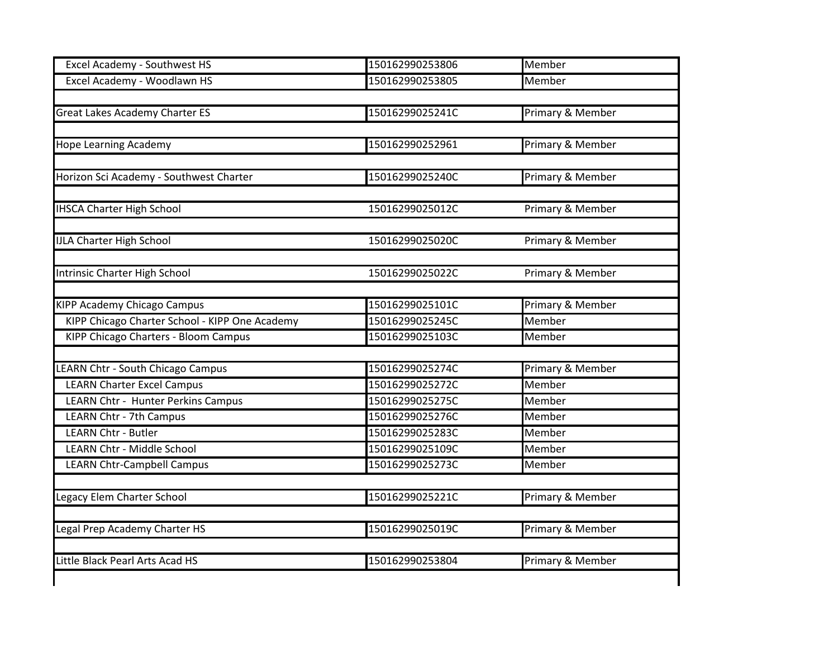| <b>Excel Academy - Southwest HS</b>            | 150162990253806 | Member           |
|------------------------------------------------|-----------------|------------------|
| Excel Academy - Woodlawn HS                    | 150162990253805 | Member           |
|                                                |                 |                  |
| Great Lakes Academy Charter ES                 | 15016299025241C | Primary & Member |
|                                                |                 |                  |
| <b>Hope Learning Academy</b>                   | 150162990252961 | Primary & Member |
| Horizon Sci Academy - Southwest Charter        | 15016299025240C | Primary & Member |
| <b>IHSCA Charter High School</b>               | 15016299025012C | Primary & Member |
| <b>IJLA Charter High School</b>                | 15016299025020C | Primary & Member |
| <b>Intrinsic Charter High School</b>           | 15016299025022C | Primary & Member |
|                                                |                 |                  |
| <b>KIPP Academy Chicago Campus</b>             | 15016299025101C | Primary & Member |
| KIPP Chicago Charter School - KIPP One Academy | 15016299025245C | <b>Member</b>    |
| KIPP Chicago Charters - Bloom Campus           | 15016299025103C | Member           |
| <b>EARN Chtr - South Chicago Campus</b>        | 15016299025274C | Primary & Member |
| <b>LEARN Charter Excel Campus</b>              | 15016299025272C | Member           |
| LEARN Chtr - Hunter Perkins Campus             | 15016299025275C | Member           |
| <b>LEARN Chtr - 7th Campus</b>                 | 15016299025276C | Member           |
| <b>LEARN Chtr - Butler</b>                     | 15016299025283C | Member           |
| <b>LEARN Chtr - Middle School</b>              | 15016299025109C | Member           |
| <b>LEARN Chtr-Campbell Campus</b>              | 15016299025273C | Member           |
| egacy Elem Charter School                      | 15016299025221C | Primary & Member |
| egal Prep Academy Charter HS                   | 15016299025019C | Primary & Member |
| Little Black Pearl Arts Acad HS                | 150162990253804 | Primary & Member |
|                                                |                 |                  |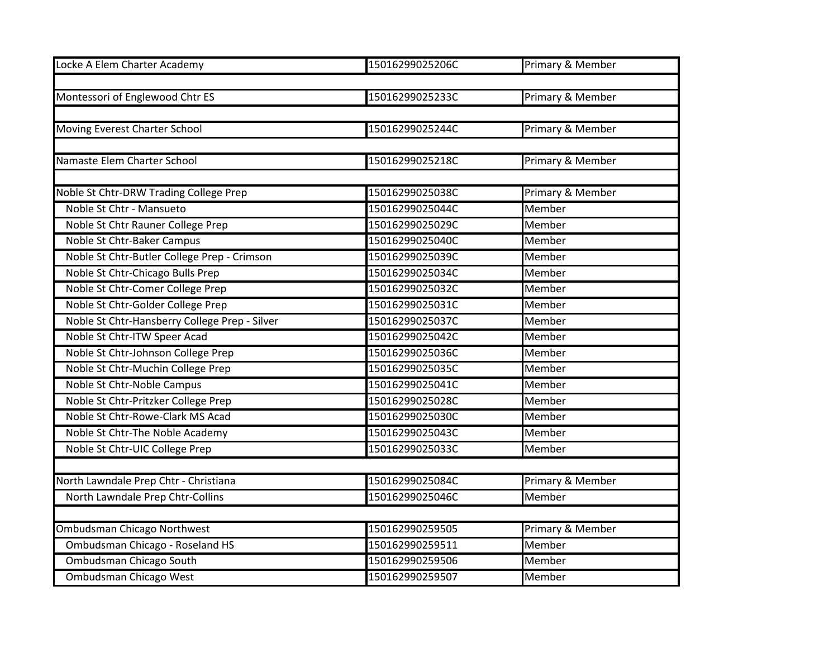| Locke A Elem Charter Academy                  | 15016299025206C | Primary & Member |
|-----------------------------------------------|-----------------|------------------|
|                                               |                 |                  |
| Montessori of Englewood Chtr ES               | 15016299025233C | Primary & Member |
|                                               |                 |                  |
| Moving Everest Charter School                 | 15016299025244C | Primary & Member |
|                                               |                 |                  |
| Namaste Elem Charter School                   | 15016299025218C | Primary & Member |
|                                               |                 |                  |
| Noble St Chtr-DRW Trading College Prep        | 15016299025038C | Primary & Member |
| Noble St Chtr - Mansueto                      | 15016299025044C | Member           |
| Noble St Chtr Rauner College Prep             | 15016299025029C | Member           |
| Noble St Chtr-Baker Campus                    | 15016299025040C | Member           |
| Noble St Chtr-Butler College Prep - Crimson   | 15016299025039C | Member           |
| Noble St Chtr-Chicago Bulls Prep              | 15016299025034C | Member           |
| Noble St Chtr-Comer College Prep              | 15016299025032C | Member           |
| Noble St Chtr-Golder College Prep             | 15016299025031C | Member           |
| Noble St Chtr-Hansberry College Prep - Silver | 15016299025037C | Member           |
| Noble St Chtr-ITW Speer Acad                  | 15016299025042C | Member           |
| Noble St Chtr-Johnson College Prep            | 15016299025036C | Member           |
| Noble St Chtr-Muchin College Prep             | 15016299025035C | Member           |
| Noble St Chtr-Noble Campus                    | 15016299025041C | Member           |
| Noble St Chtr-Pritzker College Prep           | 15016299025028C | Member           |
| Noble St Chtr-Rowe-Clark MS Acad              | 15016299025030C | Member           |
| Noble St Chtr-The Noble Academy               | 15016299025043C | Member           |
| Noble St Chtr-UIC College Prep                | 15016299025033C | Member           |
|                                               |                 |                  |
| North Lawndale Prep Chtr - Christiana         | 15016299025084C | Primary & Member |
| North Lawndale Prep Chtr-Collins              | 15016299025046C | Member           |
|                                               |                 |                  |
| Ombudsman Chicago Northwest                   | 150162990259505 | Primary & Member |
| Ombudsman Chicago - Roseland HS               | 150162990259511 | Member           |
| Ombudsman Chicago South                       | 150162990259506 | Member           |
| Ombudsman Chicago West                        | 150162990259507 | Member           |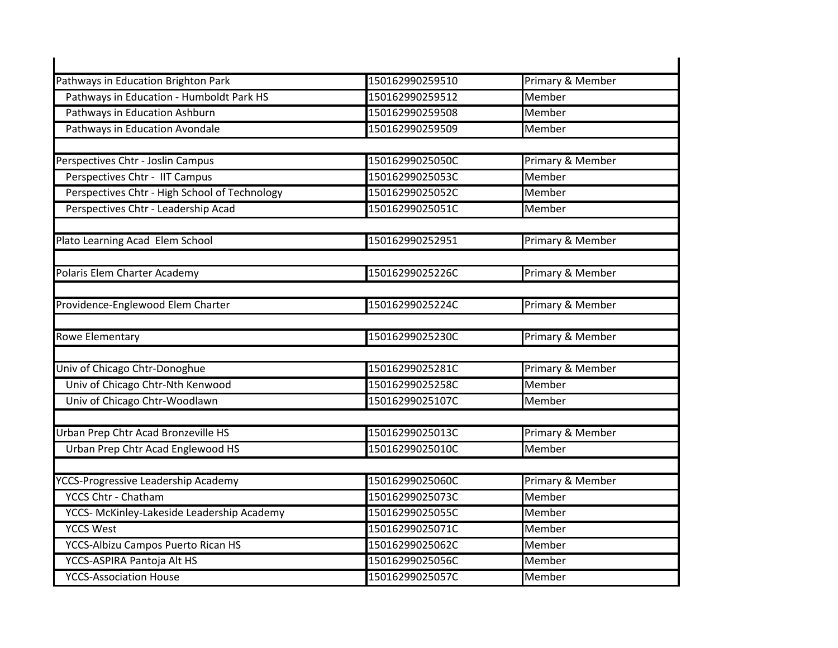| Pathways in Education Brighton Park           | 150162990259510 | Primary & Member |
|-----------------------------------------------|-----------------|------------------|
| Pathways in Education - Humboldt Park HS      | 150162990259512 | Member           |
| Pathways in Education Ashburn                 | 150162990259508 | Member           |
| Pathways in Education Avondale                | 150162990259509 | Member           |
| Perspectives Chtr - Joslin Campus             | 15016299025050C | Primary & Member |
| Perspectives Chtr - IIT Campus                | 15016299025053C | Member           |
| Perspectives Chtr - High School of Technology | 15016299025052C | Member           |
| Perspectives Chtr - Leadership Acad           | 15016299025051C | Member           |
| Plato Learning Acad Elem School               | 150162990252951 | Primary & Member |
| Polaris Elem Charter Academy                  | 15016299025226C | Primary & Member |
| Providence-Englewood Elem Charter             | 15016299025224C | Primary & Member |
| Rowe Elementary                               | 15016299025230C | Primary & Member |
|                                               |                 |                  |
| Univ of Chicago Chtr-Donoghue                 | 15016299025281C | Primary & Member |
| Univ of Chicago Chtr-Nth Kenwood              | 15016299025258C | Member           |
| Univ of Chicago Chtr-Woodlawn                 | 15016299025107C | Member           |
| Urban Prep Chtr Acad Bronzeville HS           | 15016299025013C | Primary & Member |
| Urban Prep Chtr Acad Englewood HS             | 15016299025010C | Member           |
| <b>YCCS-Progressive Leadership Academy</b>    | 15016299025060C | Primary & Member |
| <b>YCCS Chtr - Chatham</b>                    | 15016299025073C | Member           |
| YCCS- McKinley-Lakeside Leadership Academy    | 15016299025055C | Member           |
| <b>YCCS West</b>                              | 15016299025071C | Member           |
| YCCS-Albizu Campos Puerto Rican HS            | 15016299025062C | Member           |
|                                               | 15016299025056C | Member           |
| YCCS-ASPIRA Pantoja Alt HS                    |                 |                  |